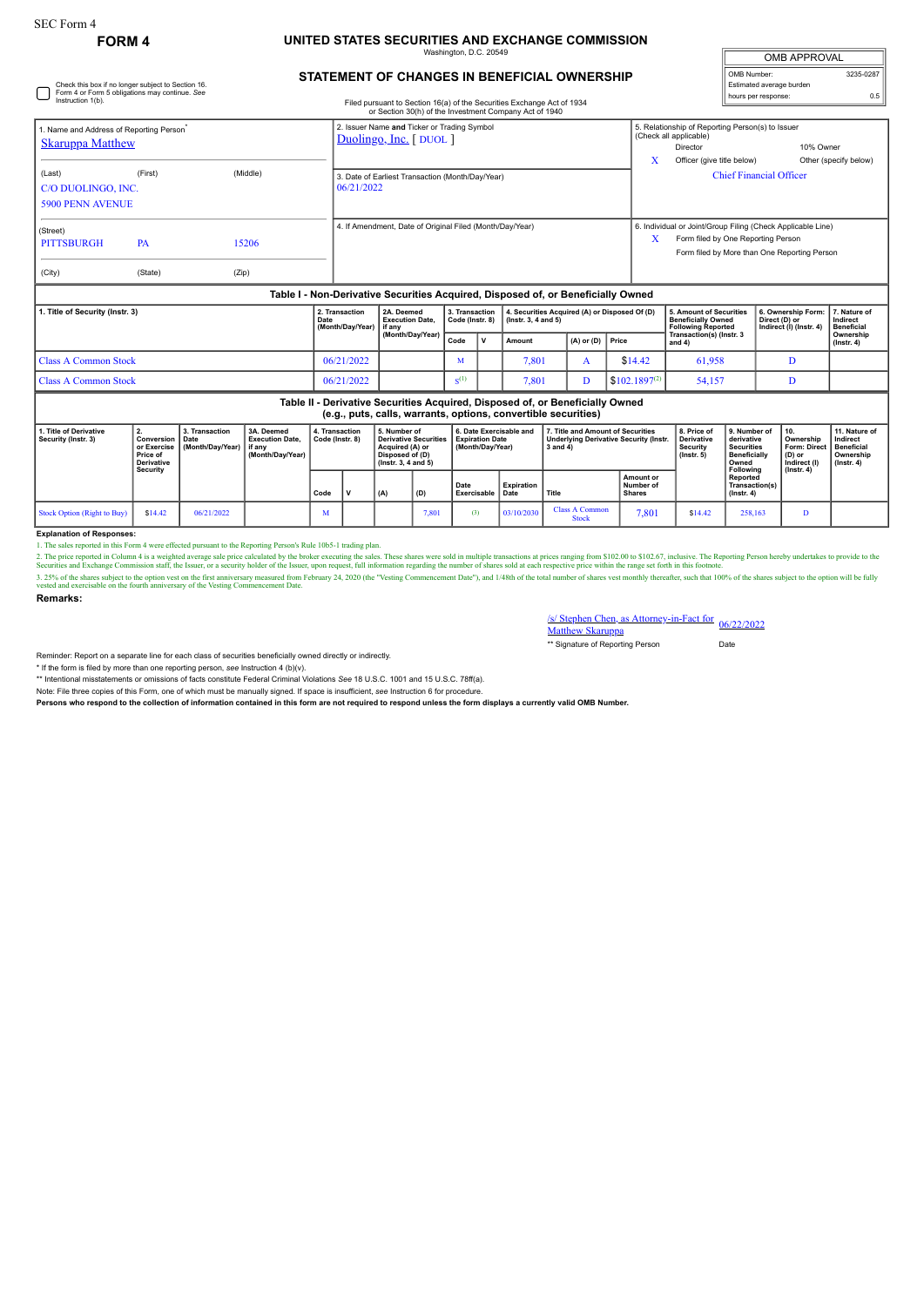## **FORM 4 UNITED STATES SECURITIES AND EXCHANGE COMMISSION** naton, D.C. 2

**STATEMENT OF CHANGES IN BENEFICIAL OWNERSHIP**

| <b>OMB APPROVAL</b>      |           |  |  |  |  |  |  |  |
|--------------------------|-----------|--|--|--|--|--|--|--|
| OMB Number:              | 3235-0287 |  |  |  |  |  |  |  |
| Estimated average burden |           |  |  |  |  |  |  |  |
| hours per response:      |           |  |  |  |  |  |  |  |

| Check this box if no longer subject to Section 16.<br>Form 4 or Form 5 obligations may continue. See<br>Instruction 1(b). |                                                                              |                                                                                                                  | Filed pursuant to Section 16(a) of the Securities Exchange Act of 1934 |      |                                                                                                                                |                                                          |                                                                       |                     |                                                                                                |                           |                                                                                                                                                 |                                                                         |                                                                                              | Estimated average burden<br>hours per response:                                                   | 0.5                                                                             |                                                                |                                               |  |
|---------------------------------------------------------------------------------------------------------------------------|------------------------------------------------------------------------------|------------------------------------------------------------------------------------------------------------------|------------------------------------------------------------------------|------|--------------------------------------------------------------------------------------------------------------------------------|----------------------------------------------------------|-----------------------------------------------------------------------|---------------------|------------------------------------------------------------------------------------------------|---------------------------|-------------------------------------------------------------------------------------------------------------------------------------------------|-------------------------------------------------------------------------|----------------------------------------------------------------------------------------------|---------------------------------------------------------------------------------------------------|---------------------------------------------------------------------------------|----------------------------------------------------------------|-----------------------------------------------|--|
| 1. Name and Address of Reporting Person <sup>®</sup><br><b>Skaruppa Matthew</b>                                           |                                                                              |                                                                                                                  |                                                                        |      | or Section 30(h) of the Investment Company Act of 1940<br>2. Issuer Name and Ticker or Trading Symbol<br>Duolingo, Inc. [DUOL] |                                                          |                                                                       |                     |                                                                                                |                           |                                                                                                                                                 |                                                                         |                                                                                              | 5. Relationship of Reporting Person(s) to Issuer<br>(Check all applicable)<br>Director            |                                                                                 |                                                                | 10% Owner                                     |  |
| (Last)<br>C/O DUOLINGO, INC.<br><b>5900 PENN AVENUE</b>                                                                   | (First)                                                                      |                                                                                                                  | (Middle)                                                               |      | 3. Date of Earliest Transaction (Month/Day/Year)<br>06/21/2022                                                                 |                                                          |                                                                       |                     |                                                                                                |                           |                                                                                                                                                 |                                                                         | X<br>Officer (give title below)<br>Other (specify below)<br><b>Chief Financial Officer</b>   |                                                                                                   |                                                                                 |                                                                |                                               |  |
| (Street)<br><b>PITTSBURGH</b><br>(City)                                                                                   | PA<br>(State)                                                                | (Zip)                                                                                                            | 15206                                                                  |      |                                                                                                                                | 4. If Amendment, Date of Original Filed (Month/Day/Year) |                                                                       |                     |                                                                                                |                           |                                                                                                                                                 |                                                                         | X                                                                                            | 6. Individual or Joint/Group Filing (Check Applicable Line)<br>Form filed by One Reporting Person |                                                                                 | Form filed by More than One Reporting Person                   |                                               |  |
|                                                                                                                           |                                                                              |                                                                                                                  |                                                                        |      |                                                                                                                                |                                                          |                                                                       |                     |                                                                                                |                           | Table I - Non-Derivative Securities Acquired, Disposed of, or Beneficially Owned                                                                |                                                                         |                                                                                              |                                                                                                   |                                                                                 |                                                                |                                               |  |
| 1. Title of Security (Instr. 3)                                                                                           |                                                                              |                                                                                                                  |                                                                        | Date | 2. Transaction<br>(Month/Day/Year)                                                                                             |                                                          | 2A. Deemed<br><b>Execution Date.</b><br>if anv                        |                     | 3. Transaction<br>Code (Instr. 8)<br>$($ lnstr. 3, 4 and 5 $)$                                 |                           | 4. Securities Acquired (A) or Disposed Of (D)                                                                                                   |                                                                         |                                                                                              | 5. Amount of Securities<br><b>Beneficially Owned</b><br><b>Following Reported</b>                 |                                                                                 | 6. Ownership Form:<br>Direct (D) or<br>Indirect (I) (Instr. 4) | 7. Nature of<br>Indirect<br><b>Beneficial</b> |  |
|                                                                                                                           |                                                                              |                                                                                                                  |                                                                        |      |                                                                                                                                | (Month/Day/Year)                                         |                                                                       | Code                | $\mathbf v$                                                                                    | Amount                    | $(A)$ or $(D)$                                                                                                                                  | Price                                                                   |                                                                                              | Transaction(s) (Instr. 3<br>and 4)                                                                |                                                                                 |                                                                | Ownership<br>$($ Instr. 4 $)$                 |  |
| <b>Class A Common Stock</b>                                                                                               |                                                                              |                                                                                                                  |                                                                        |      | 06/21/2022                                                                                                                     |                                                          | М                                                                     |                     | 7.801                                                                                          | A                         | \$14.42                                                                                                                                         |                                                                         | 61.958                                                                                       |                                                                                                   | D                                                                               |                                                                |                                               |  |
| <b>Class A Common Stock</b>                                                                                               |                                                                              |                                                                                                                  |                                                                        |      | 06/21/2022                                                                                                                     |                                                          | S <sup>(1)</sup>                                                      |                     | 7,801                                                                                          | D                         |                                                                                                                                                 | $$102.1897^{(2)}$                                                       | 54,157                                                                                       |                                                                                                   | D                                                                               |                                                                |                                               |  |
|                                                                                                                           |                                                                              |                                                                                                                  |                                                                        |      |                                                                                                                                |                                                          |                                                                       |                     |                                                                                                |                           | Table II - Derivative Securities Acquired, Disposed of, or Beneficially Owned<br>(e.g., puts, calls, warrants, options, convertible securities) |                                                                         |                                                                                              |                                                                                                   |                                                                                 |                                                                |                                               |  |
| 1. Title of Derivative<br>Security (Instr. 3)                                                                             | 2.<br>Conversion<br>or Exercise<br>Price of<br><b>Derivative</b><br>Security | 3. Transaction<br>3A. Deemed<br><b>Execution Date.</b><br>Date<br>(Month/Day/Year)<br>if anv<br>(Month/Day/Year) | 4. Transaction<br>Code (Instr. 8)                                      |      | 5. Number of<br><b>Derivative Securities</b><br>Acquired (A) or<br>Disposed of (D)<br>(Instr. 3, 4 and 5)                      |                                                          | 6. Date Exercisable and<br><b>Expiration Date</b><br>(Month/Day/Year) |                     | 7. Title and Amount of Securities<br><b>Underlying Derivative Security (Instr.</b><br>3 and 4) |                           |                                                                                                                                                 | 8. Price of<br><b>Derivative</b><br><b>Security</b><br>$($ lnstr. 5 $)$ | 9. Number of<br>derivative<br><b>Securities</b><br><b>Beneficially</b><br>Owned<br>Following | 10.<br>Ownership<br><b>Form: Direct</b><br>(D) or<br>Indirect (I)<br>$($ lnstr. 4 $)$             | 11. Nature of<br>Indirect<br><b>Beneficial</b><br>Ownership<br>$($ Instr. 4 $)$ |                                                                |                                               |  |
|                                                                                                                           |                                                                              |                                                                                                                  |                                                                        | Code | v                                                                                                                              | (A)                                                      | (D)                                                                   | Date<br>Exercisable |                                                                                                | <b>Expiration</b><br>Date | <b>Title</b>                                                                                                                                    |                                                                         | Amount or<br>Number of<br><b>Shares</b>                                                      |                                                                                                   | Reported<br>Transaction(s)<br>$($ Instr. 4 $)$                                  |                                                                |                                               |  |
| <b>Stock Option (Right to Buy)</b>                                                                                        | \$14.42                                                                      | 06/21/2022                                                                                                       |                                                                        | M    |                                                                                                                                |                                                          | 7,801                                                                 | (3)                 |                                                                                                | 03/10/2030                | <b>Class A Common</b><br><b>Stock</b>                                                                                                           |                                                                         | 7.801                                                                                        | \$14.42                                                                                           | 258,163                                                                         | D                                                              |                                               |  |
| <b>Explanation of Responses:</b>                                                                                          |                                                                              |                                                                                                                  |                                                                        |      |                                                                                                                                |                                                          |                                                                       |                     |                                                                                                |                           |                                                                                                                                                 |                                                                         |                                                                                              |                                                                                                   |                                                                                 |                                                                |                                               |  |

**Explanation of Responses:**<br>1. The sales reported in ISo Form 4 were effected pursuant to the Reporting Person's Rule 10b5-1 trading plan.<br>2. The price reported in Column 4 is a weighted average sale price calculated by th

**Remarks:**

S/ Stephen Chen, as Attorney-in-Fact for 06/22/2022<br>Matthew Skaruppa

\*\* Signature of Reporting Person Date

Reminder: Report on a separate line for each class of securities beneficially owned directly or indirectly.

\* If the form is filed by more than one reporting person, *see* Instruction 4 (b)(v).

\*\* Intentional misstatements or omissions of facts constitute Federal Criminal Violations *See* 18 U.S.C. 1001 and 15 U.S.C. 78ff(a). Note: File three copies of this Form, one of which must be manually signed. If space is insufficient, *see* Instruction 6 for procedure.

**Persons who respond to the collection of information contained in this form are not required to respond unless the form displays a currently valid OMB Number.**